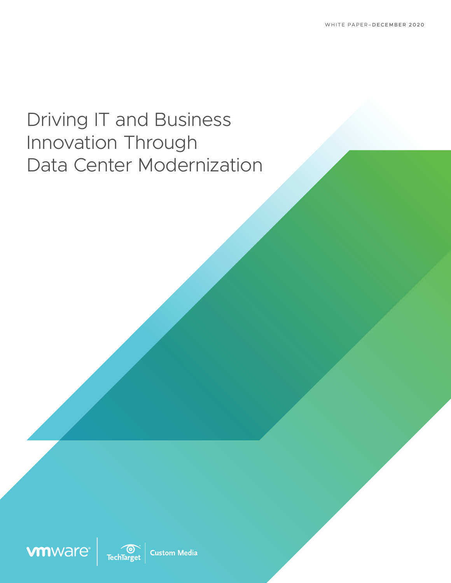# Driving IT and Business Innovation Through Data Center Modernization





**Custom Media**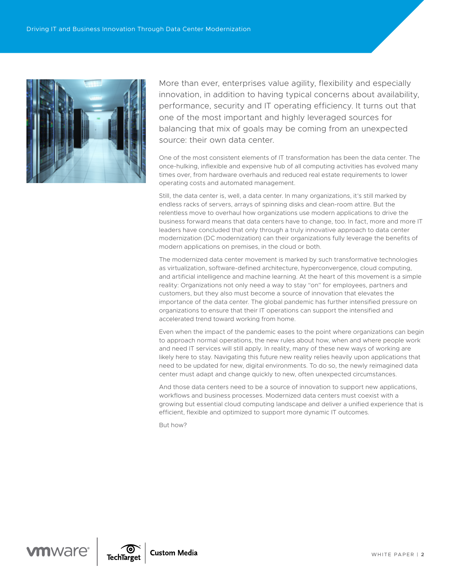

More than ever, enterprises value agility, flexibility and especially innovation, in addition to having typical concerns about availability, performance, security and IT operating efficiency. It turns out that one of the most important and highly leveraged sources for balancing that mix of goals may be coming from an unexpected source: their own data center.

One of the most consistent elements of IT transformation has been the data center. The once-hulking, inflexible and expensive hub of all computing activities has evolved many times over, from hardware overhauls and reduced real estate requirements to lower operating costs and automated management.

Still, the data center is, well, a data center. In many organizations, it's still marked by endless racks of servers, arrays of spinning disks and clean-room attire. But the relentless move to overhaul how organizations use modern applications to drive the business forward means that data centers have to change, too. In fact, more and more IT leaders have concluded that only through a truly innovative approach to data center modernization (DC modernization) can their organizations fully leverage the benefits of modern applications on premises, in the cloud or both.

The modernized data center movement is marked by such transformative technologies as virtualization, software-defined architecture, hyperconvergence, cloud computing, and artificial intelligence and machine learning. At the heart of this movement is a simple reality: Organizations not only need a way to stay "on" for employees, partners and customers, but they also must become a source of innovation that elevates the importance of the data center. The global pandemic has further intensified pressure on organizations to ensure that their IT operations can support the intensified and accelerated trend toward working from home.

Even when the impact of the pandemic eases to the point where organizations can begin to approach normal operations, the new rules about how, when and where people work and need IT services will still apply. In reality, many of these new ways of working are likely here to stay. Navigating this future new reality relies heavily upon applications that need to be updated for new, digital environments. To do so, the newly reimagined data center must adapt and change quickly to new, often unexpected circumstances.

And those data centers need to be a source of innovation to support new applications, workflows and business processes. Modernized data centers must coexist with a growing but essential cloud computing landscape and deliver a unified experience that is efficient, flexible and optimized to support more dynamic IT outcomes.

But how?



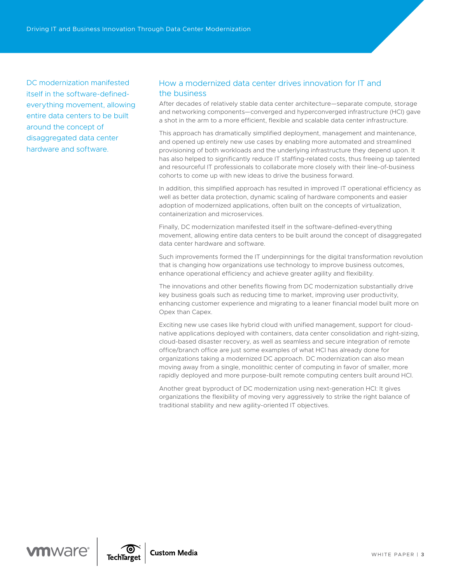DC modernization manifested itself in the software-definedeverything movement, allowing entire data centers to be built around the concept of disaggregated data center hardware and software.

## How a modernized data center drives innovation for IT and the business

After decades of relatively stable data center architecture—separate compute, storage and networking components—converged and hyperconverged infrastructure (HCI) gave a shot in the arm to a more efficient, flexible and scalable data center infrastructure.

This approach has dramatically simplified deployment, management and maintenance, and opened up entirely new use cases by enabling more automated and streamlined provisioning of both workloads and the underlying infrastructure they depend upon. It has also helped to significantly reduce IT staffing-related costs, thus freeing up talented and resourceful IT professionals to collaborate more closely with their line-of-business cohorts to come up with new ideas to drive the business forward.

In addition, this simplified approach has resulted in improved IT operational efficiency as well as better data protection, dynamic scaling of hardware components and easier adoption of modernized applications, often built on the concepts of virtualization, containerization and microservices.

Finally, DC modernization manifested itself in the software-defined-everything movement, allowing entire data centers to be built around the concept of disaggregated data center hardware and software.

Such improvements formed the IT underpinnings for the digital transformation revolution that is changing how organizations use technology to improve business outcomes, enhance operational efficiency and achieve greater agility and flexibility.

The innovations and other benefits flowing from DC modernization substantially drive key business goals such as reducing time to market, improving user productivity, enhancing customer experience and migrating to a leaner financial model built more on Opex than Capex.

Exciting new use cases like hybrid cloud with unified management, support for cloudnative applications deployed with containers, data center consolidation and right-sizing, cloud-based disaster recovery, as well as seamless and secure integration of remote office/branch office are just some examples of what HCI has already done for organizations taking a modernized DC approach. DC modernization can also mean moving away from a single, monolithic center of computing in favor of smaller, more rapidly deployed and more purpose-built remote computing centers built around HCI.

Another great byproduct of DC modernization using next-generation HCI: It gives organizations the flexibility of moving very aggressively to strike the right balance of traditional stability and new agility-oriented IT objectives.



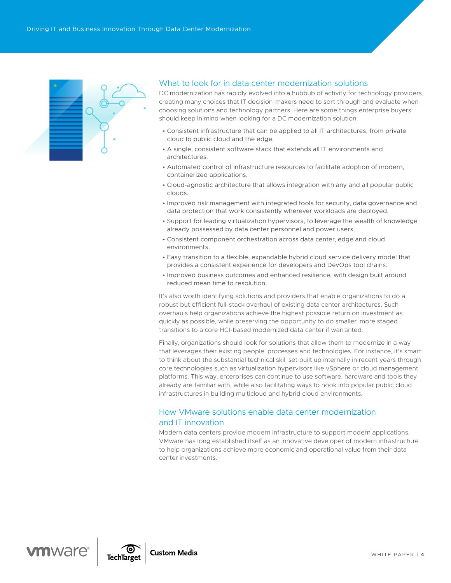

### What to look for in data center modernization solutions

DC modernization has rapidly evolved into a hubbub of activity for technology providers, creating many choices that IT decision-makers need to sort through and evaluate when choosing solutions and technology partners. Here are some things enterprise buyers should keep in mind when looking for a DC modernization solution:

- Consistent infrastructure that can be applied to all IT architectures, from private cloud to public cloud and the edge.
- A single, consistent software stack that extends all IT environments and architectures.
- Automated control of infrastructure resources to facilitate adoption of modern, containerized applications.
- Cloud-agnostic architecture that allows integration with any and all popular public clouds.
- Improved risk management with integrated tools for security, data governance and data protection that work consistently wherever workloads are deployed.
- Support for leading virtualization hypervisors, to leverage the wealth of knowledge already possessed by data center personnel and power users.
- Consistent component orchestration across data center, edge and cloud environments.
- Easy transition to a flexible, expandable hybrid cloud service delivery model that provides a consistent experience for developers and DevOps tool chains.
- Improved business outcomes and enhanced resilience, with design built around reduced mean time to resolution.

It's also worth identifying solutions and providers that enable organizations to do a robust but efficient full-stack overhaul of existing data center architectures. Such overhauls help organizations achieve the highest possible return on investment as quickly as possible, while preserving the opportunity to do smaller, more staged transitions to a core HCI-based modernized data center if warranted.

Finally, organizations should look for solutions that allow them to modernize in a way that leverages their existing people, processes and technologies. For instance, it's smart to think about the substantial technical skill set built up internally in recent years through core technologies such as virtualization hypervisors like vSphere or cloud management platforms. This way, enterprises can continue to use software, hardware and tools they already are familiar with, while also facilitating ways to hook into popular public cloud infrastructures in building multicloud and hybrid cloud environments.

## How VMware solutions enable data center modernization and IT innovation

Modern data centers provide modern infrastructure to support modern applications. VMware has long established itself as an innovative developer of modern infrastructure to help organizations achieve more economic and operational value from their data center investments.



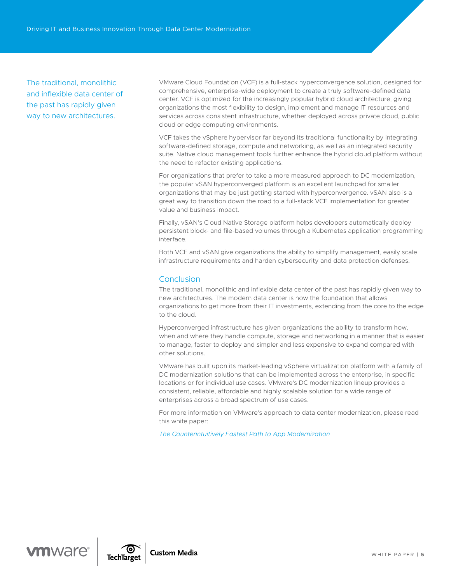The traditional, monolithic and inflexible data center of the past has rapidly given way to new architectures.

VMware Cloud Foundation (VCF) is a full-stack hyperconvergence solution, designed for comprehensive, enterprise-wide deployment to create a truly software-defined data center. VCF is optimized for the increasingly popular hybrid cloud architecture, giving organizations the most flexibility to design, implement and manage IT resources and services across consistent infrastructure, whether deployed across private cloud, public cloud or edge computing environments.

VCF takes the vSphere hypervisor far beyond its traditional functionality by integrating software-defined storage, compute and networking, as well as an integrated security suite. Native cloud management tools further enhance the hybrid cloud platform without the need to refactor existing applications.

For organizations that prefer to take a more measured approach to DC modernization, the popular vSAN hyperconverged platform is an excellent launchpad for smaller organizations that may be just getting started with hyperconvergence. vSAN also is a great way to transition down the road to a full-stack VCF implementation for greater value and business impact.

Finally, vSAN's Cloud Native Storage platform helps developers automatically deploy persistent block- and file-based volumes through a Kubernetes application programming interface.

Both VCF and vSAN give organizations the ability to simplify management, easily scale infrastructure requirements and harden cybersecurity and data protection defenses.

#### **Conclusion**

The traditional, monolithic and inflexible data center of the past has rapidly given way to new architectures. The modern data center is now the foundation that allows organizations to get more from their IT investments, extending from the core to the edge to the cloud.

Hyperconverged infrastructure has given organizations the ability to transform how, when and where they handle compute, storage and networking in a manner that is easier to manage, faster to deploy and simpler and less expensive to expand compared with other solutions.

VMware has built upon its market-leading vSphere virtualization platform with a family of DC modernization solutions that can be implemented across the enterprise, in specific locations or for individual use cases. VMware's DC modernization lineup provides a consistent, reliable, affordable and highly scalable solution for a wide range of enterprises across a broad spectrum of use cases.

For more information on VMware's approach to data center modernization, please read this white paper:

*[The Counterintuitively Fastest Path to App Modernization](https://www.vmware.com/learn/665753_REG.html?cid=7012H000001YoPR&src=af_5f75fffd07d5a)*